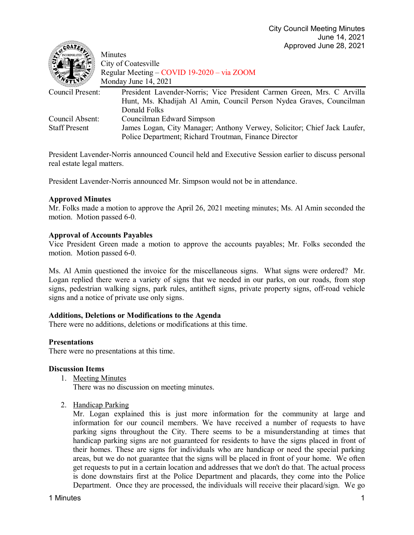| $\sim$ $\sim$                           | Minutes<br>City of Coatesville<br>Regular Meeting – COVID 19-2020 – via ZOOM<br>Monday June 14, 2021                                                           |
|-----------------------------------------|----------------------------------------------------------------------------------------------------------------------------------------------------------------|
| Council Present:                        | President Lavender-Norris; Vice President Carmen Green, Mrs. C Arvilla<br>Hunt, Ms. Khadijah Al Amin, Council Person Nydea Graves, Councilman<br>Donald Folks  |
| Council Absent:<br><b>Staff Present</b> | Councilman Edward Simpson<br>James Logan, City Manager; Anthony Verwey, Solicitor; Chief Jack Laufer,<br>Police Department; Richard Troutman, Finance Director |

President Lavender-Norris announced Council held and Executive Session earlier to discuss personal real estate legal matters.

President Lavender-Norris announced Mr. Simpson would not be in attendance.

## **Approved Minutes**

 $\epsilon$ oatr $\mathbb{R}$ 

Mr. Folks made a motion to approve the April 26, 2021 meeting minutes; Ms. Al Amin seconded the motion. Motion passed 6-0.

## **Approval of Accounts Payables**

Vice President Green made a motion to approve the accounts payables; Mr. Folks seconded the motion. Motion passed 6-0.

Ms. Al Amin questioned the invoice for the miscellaneous signs. What signs were ordered? Mr. Logan replied there were a variety of signs that we needed in our parks, on our roads, from stop signs, pedestrian walking signs, park rules, antitheft signs, private property signs, off-road vehicle signs and a notice of private use only signs.

# **Additions, Deletions or Modifications to the Agenda**

There were no additions, deletions or modifications at this time.

# **Presentations**

There were no presentations at this time.

#### **Discussion Items**

1. Meeting Minutes

There was no discussion on meeting minutes.

2. Handicap Parking

Mr. Logan explained this is just more information for the community at large and information for our council members. We have received a number of requests to have parking signs throughout the City. There seems to be a misunderstanding at times that handicap parking signs are not guaranteed for residents to have the signs placed in front of their homes. These are signs for individuals who are handicap or need the special parking areas, but we do not guarantee that the signs will be placed in front of your home. We often get requests to put in a certain location and addresses that we don't do that. The actual process is done downstairs first at the Police Department and placards, they come into the Police Department. Once they are processed, the individuals will receive their placard/sign. We go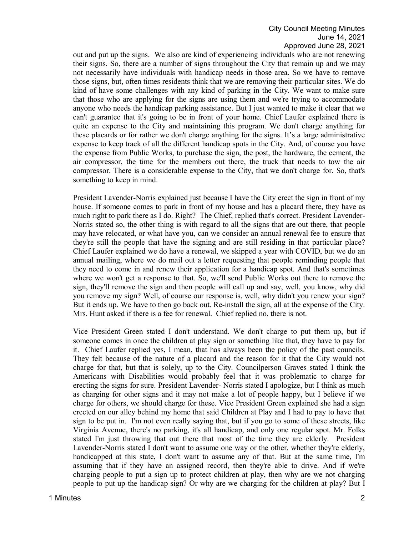out and put up the signs. We also are kind of experiencing individuals who are not renewing their signs. So, there are a number of signs throughout the City that remain up and we may not necessarily have individuals with handicap needs in those area. So we have to remove those signs, but, often times residents think that we are removing their particular sites. We do kind of have some challenges with any kind of parking in the City. We want to make sure that those who are applying for the signs are using them and we're trying to accommodate anyone who needs the handicap parking assistance. But I just wanted to make it clear that we can't guarantee that it's going to be in front of your home. Chief Laufer explained there is quite an expense to the City and maintaining this program. We don't charge anything for these placards or for rather we don't charge anything for the signs. It's a large administrative expense to keep track of all the different handicap spots in the City. And, of course you have the expense from Public Works, to purchase the sign, the post, the hardware, the cement, the air compressor, the time for the members out there, the truck that needs to tow the air compressor. There is a considerable expense to the City, that we don't charge for. So, that's something to keep in mind.

President Lavender-Norris explained just because I have the City erect the sign in front of my house. If someone comes to park in front of my house and has a placard there, they have as much right to park there as I do. Right? The Chief, replied that's correct. President Lavender-Norris stated so, the other thing is with regard to all the signs that are out there, that people may have relocated, or what have you, can we consider an annual renewal fee to ensure that they're still the people that have the signing and are still residing in that particular place? Chief Laufer explained we do have a renewal, we skipped a year with COVID, but we do an annual mailing, where we do mail out a letter requesting that people reminding people that they need to come in and renew their application for a handicap spot. And that's sometimes where we won't get a response to that. So, we'll send Public Works out there to remove the sign, they'll remove the sign and then people will call up and say, well, you know, why did you remove my sign? Well, of course our response is, well, why didn't you renew your sign? But it ends up. We have to then go back out. Re-install the sign, all at the expense of the City. Mrs. Hunt asked if there is a fee for renewal. Chief replied no, there is not.

Vice President Green stated I don't understand. We don't charge to put them up, but if someone comes in once the children at play sign or something like that, they have to pay for it. Chief Laufer replied yes, I mean, that has always been the policy of the past councils. They felt because of the nature of a placard and the reason for it that the City would not charge for that, but that is solely, up to the City. Councilperson Graves stated I think the Americans with Disabilities would probably feel that it was problematic to charge for erecting the signs for sure. President Lavender- Norris stated I apologize, but I think as much as charging for other signs and it may not make a lot of people happy, but I believe if we charge for others, we should charge for these. Vice President Green explained she had a sign erected on our alley behind my home that said Children at Play and I had to pay to have that sign to be put in. I'm not even really saying that, but if you go to some of these streets, like Virginia Avenue, there's no parking, it's all handicap, and only one regular spot. Mr. Folks stated I'm just throwing that out there that most of the time they are elderly. President Lavender-Norris stated I don't want to assume one way or the other, whether they're elderly, handicapped at this state, I don't want to assume any of that. But at the same time, I'm assuming that if they have an assigned record, then they're able to drive. And if we're charging people to put a sign up to protect children at play, then why are we not charging people to put up the handicap sign? Or why are we charging for the children at play? But I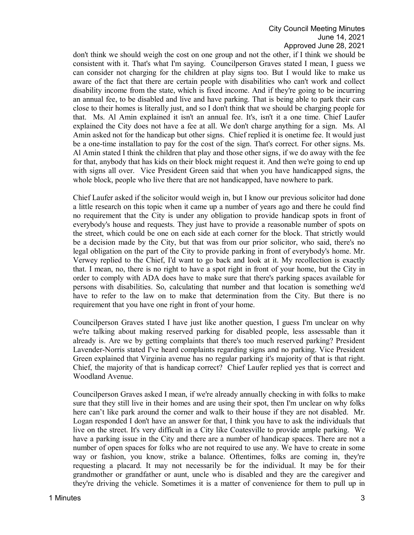don't think we should weigh the cost on one group and not the other, if I think we should be consistent with it. That's what I'm saying. Councilperson Graves stated I mean, I guess we can consider not charging for the children at play signs too. But I would like to make us aware of the fact that there are certain people with disabilities who can't work and collect disability income from the state, which is fixed income. And if they're going to be incurring an annual fee, to be disabled and live and have parking. That is being able to park their cars close to their homes is literally just, and so I don't think that we should be charging people for that. Ms. Al Amin explained it isn't an annual fee. It's, isn't it a one time. Chief Laufer explained the City does not have a fee at all. We don't charge anything for a sign. Ms. Al Amin asked not for the handicap but other signs. Chief replied it is onetime fee. It would just be a one-time installation to pay for the cost of the sign. That's correct. For other signs. Ms. Al Amin stated I think the children that play and those other signs, if we do away with the fee for that, anybody that has kids on their block might request it. And then we're going to end up with signs all over. Vice President Green said that when you have handicapped signs, the whole block, people who live there that are not handicapped, have nowhere to park.

Chief Laufer asked if the solicitor would weigh in, but I know our previous solicitor had done a little research on this topic when it came up a number of years ago and there he could find no requirement that the City is under any obligation to provide handicap spots in front of everybody's house and requests. They just have to provide a reasonable number of spots on the street, which could be one on each side at each corner for the block. That strictly would be a decision made by the City, but that was from our prior solicitor, who said, there's no legal obligation on the part of the City to provide parking in front of everybody's home. Mr. Verwey replied to the Chief, I'd want to go back and look at it. My recollection is exactly that. I mean, no, there is no right to have a spot right in front of your home, but the City in order to comply with ADA does have to make sure that there's parking spaces available for persons with disabilities. So, calculating that number and that location is something we'd have to refer to the law on to make that determination from the City. But there is no requirement that you have one right in front of your home.

Councilperson Graves stated I have just like another question, I guess I'm unclear on why we're talking about making reserved parking for disabled people, less assessable than it already is. Are we by getting complaints that there's too much reserved parking? President Lavender-Norris stated I've heard complaints regarding signs and no parking. Vice President Green explained that Virginia avenue has no regular parking it's majority of that is that right. Chief, the majority of that is handicap correct? Chief Laufer replied yes that is correct and Woodland Avenue.

Councilperson Graves asked I mean, if we're already annually checking in with folks to make sure that they still live in their homes and are using their spot, then I'm unclear on why folks here can't like park around the corner and walk to their house if they are not disabled. Mr. Logan responded I don't have an answer for that, I think you have to ask the individuals that live on the street. It's very difficult in a City like Coatesville to provide ample parking. We have a parking issue in the City and there are a number of handicap spaces. There are not a number of open spaces for folks who are not required to use any. We have to create in some way or fashion, you know, strike a balance. Oftentimes, folks are coming in, they're requesting a placard. It may not necessarily be for the individual. It may be for their grandmother or grandfather or aunt, uncle who is disabled and they are the caregiver and they're driving the vehicle. Sometimes it is a matter of convenience for them to pull up in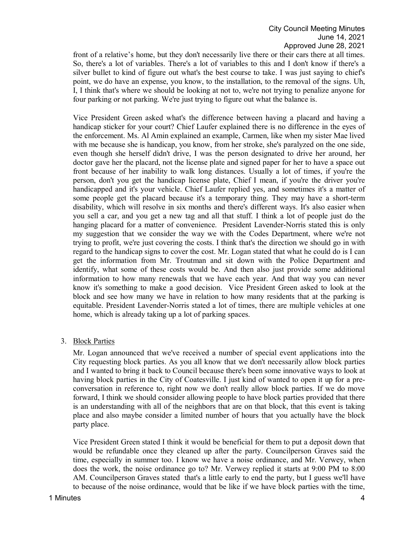front of a relative's home, but they don't necessarily live there or their cars there at all times. So, there's a lot of variables. There's a lot of variables to this and I don't know if there's a silver bullet to kind of figure out what's the best course to take. I was just saying to chief's point, we do have an expense, you know, to the installation, to the removal of the signs. Uh, I, I think that's where we should be looking at not to, we're not trying to penalize anyone for four parking or not parking. We're just trying to figure out what the balance is.

Vice President Green asked what's the difference between having a placard and having a handicap sticker for your court? Chief Laufer explained there is no difference in the eyes of the enforcement. Ms. Al Amin explained an example, Carmen, like when my sister Mae lived with me because she is handicap, you know, from her stroke, she's paralyzed on the one side, even though she herself didn't drive, I was the person designated to drive her around, her doctor gave her the placard, not the license plate and signed paper for her to have a space out front because of her inability to walk long distances. Usually a lot of times, if you're the person, don't you get the handicap license plate, Chief I mean, if you're the driver you're handicapped and it's your vehicle. Chief Laufer replied yes, and sometimes it's a matter of some people get the placard because it's a temporary thing. They may have a short-term disability, which will resolve in six months and there's different ways. It's also easier when you sell a car, and you get a new tag and all that stuff. I think a lot of people just do the hanging placard for a matter of convenience. President Lavender-Norris stated this is only my suggestion that we consider the way we with the Codes Department, where we're not trying to profit, we're just covering the costs. I think that's the direction we should go in with regard to the handicap signs to cover the cost. Mr. Logan stated that what he could do is I can get the information from Mr. Troutman and sit down with the Police Department and identify, what some of these costs would be. And then also just provide some additional information to how many renewals that we have each year. And that way you can never know it's something to make a good decision. Vice President Green asked to look at the block and see how many we have in relation to how many residents that at the parking is equitable. President Lavender-Norris stated a lot of times, there are multiple vehicles at one home, which is already taking up a lot of parking spaces.

3. Block Parties

Mr. Logan announced that we've received a number of special event applications into the City requesting block parties. As you all know that we don't necessarily allow block parties and I wanted to bring it back to Council because there's been some innovative ways to look at having block parties in the City of Coatesville. I just kind of wanted to open it up for a preconversation in reference to, right now we don't really allow block parties. If we do move forward, I think we should consider allowing people to have block parties provided that there is an understanding with all of the neighbors that are on that block, that this event is taking place and also maybe consider a limited number of hours that you actually have the block party place.

Vice President Green stated I think it would be beneficial for them to put a deposit down that would be refundable once they cleaned up after the party. Councilperson Graves said the time, especially in summer too. I know we have a noise ordinance, and Mr. Verwey, when does the work, the noise ordinance go to? Mr. Verwey replied it starts at 9:00 PM to 8:00 AM. Councilperson Graves stated that's a little early to end the party, but I guess we'll have to because of the noise ordinance, would that be like if we have block parties with the time,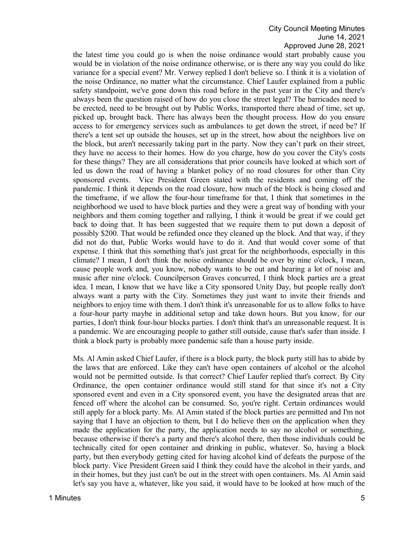the latest time you could go is when the noise ordinance would start probably cause you would be in violation of the noise ordinance otherwise, or is there any way you could do like variance for a special event? Mr. Verwey replied I don't believe so. I think it is a violation of the noise Ordinance, no matter what the circumstance. Chief Laufer explained from a public safety standpoint, we've gone down this road before in the past year in the City and there's always been the question raised of how do you close the street legal? The barricades need to be erected, need to be brought out by Public Works, transported there ahead of time, set up, picked up, brought back. There has always been the thought process. How do you ensure access to for emergency services such as ambulances to get down the street, if need be? If there's a tent set up outside the houses, set up in the street, how about the neighbors live on the block, but aren't necessarily taking part in the party. Now they can't park on their street, they have no access to their homes. How do you charge, how do you cover the City's costs for these things? They are all considerations that prior councils have looked at which sort of led us down the road of having a blanket policy of no road closures for other than City sponsored events. Vice President Green stated with the residents and coming off the pandemic. I think it depends on the road closure, how much of the block is being closed and the timeframe, if we allow the four-hour timeframe for that, I think that sometimes in the neighborhood we used to have block parties and they were a great way of bonding with your neighbors and them coming together and rallying, I think it would be great if we could get back to doing that. It has been suggested that we require them to put down a deposit of possibly \$200. That would be refunded once they cleaned up the block. And that way, if they did not do that, Public Works would have to do it. And that would cover some of that expense. I think that this something that's just great for the neighborhoods, especially in this climate? I mean, I don't think the noise ordinance should be over by nine o'clock, I mean, cause people work and, you know, nobody wants to be out and hearing a lot of noise and music after nine o'clock. Councilperson Graves concurred, I think block parties are a great idea. I mean, I know that we have like a City sponsored Unity Day, but people really don't always want a party with the City. Sometimes they just want to invite their friends and neighbors to enjoy time with them. I don't think it's unreasonable for us to allow folks to have a four-hour party maybe in additional setup and take down hours. But you know, for our parties, I don't think four-hour blocks parties. I don't think that's an unreasonable request. It is a pandemic. We are encouraging people to gather still outside, cause that's safer than inside. I think a block party is probably more pandemic safe than a house party inside.

Ms. Al Amin asked Chief Laufer, if there is a block party, the block party still has to abide by the laws that are enforced. Like they can't have open containers of alcohol or the alcohol would not be permitted outside. Is that correct? Chief Laufer replied that's correct. By City Ordinance, the open container ordinance would still stand for that since it's not a City sponsored event and even in a City sponsored event, you have the designated areas that are fenced off where the alcohol can be consumed. So, you're right. Certain ordinances would still apply for a block party. Ms. Al Amin stated if the block parties are permitted and I'm not saying that I have an objection to them, but I do believe then on the application when they made the application for the party, the application needs to say no alcohol or something, because otherwise if there's a party and there's alcohol there, then those individuals could be technically cited for open container and drinking in public, whatever. So, having a block party, but then everybody getting cited for having alcohol kind of defeats the purpose of the block party. Vice President Green said I think they could have the alcohol in their yards, and in their homes, but they just can't be out in the street with open containers. Ms. Al Amin said let's say you have a, whatever, like you said, it would have to be looked at how much of the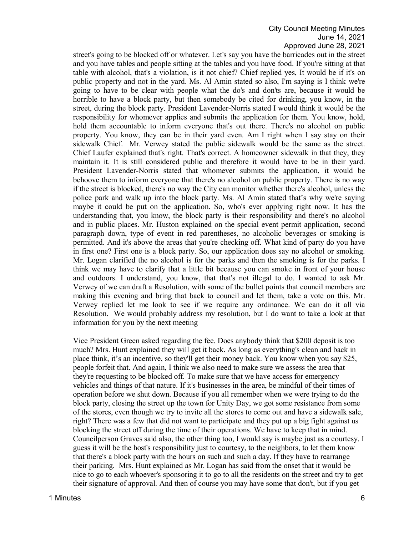street's going to be blocked off or whatever. Let's say you have the barricades out in the street and you have tables and people sitting at the tables and you have food. If you're sitting at that table with alcohol, that's a violation, is it not chief? Chief replied yes, It would be if it's on public property and not in the yard. Ms. Al Amin stated so also, I'm saying is I think we're going to have to be clear with people what the do's and don'ts are, because it would be horrible to have a block party, but then somebody be cited for drinking, you know, in the street, during the block party. President Lavender-Norris stated I would think it would be the responsibility for whomever applies and submits the application for them. You know, hold, hold them accountable to inform everyone that's out there. There's no alcohol on public property. You know, they can be in their yard even. Am I right when I say stay on their sidewalk Chief. Mr. Verwey stated the public sidewalk would be the same as the street. Chief Laufer explained that's right. That's correct. A homeowner sidewalk in that they, they maintain it. It is still considered public and therefore it would have to be in their yard. President Lavender-Norris stated that whomever submits the application, it would be behoove them to inform everyone that there's no alcohol on public property. There is no way if the street is blocked, there's no way the City can monitor whether there's alcohol, unless the police park and walk up into the block party. Ms. Al Amin stated that's why we're saying maybe it could be put on the application. So, who's ever applying right now. It has the understanding that, you know, the block party is their responsibility and there's no alcohol and in public places. Mr. Huston explained on the special event permit application, second paragraph down, type of event in red parentheses, no alcoholic beverages or smoking is permitted. And it's above the areas that you're checking off. What kind of party do you have in first one? First one is a block party. So, our application does say no alcohol or smoking. Mr. Logan clarified the no alcohol is for the parks and then the smoking is for the parks. I think we may have to clarify that a little bit because you can smoke in front of your house and outdoors. I understand, you know, that that's not illegal to do. I wanted to ask Mr. Verwey of we can draft a Resolution, with some of the bullet points that council members are making this evening and bring that back to council and let them, take a vote on this. Mr. Verwey replied let me look to see if we require any ordinance. We can do it all via Resolution. We would probably address my resolution, but I do want to take a look at that information for you by the next meeting

Vice President Green asked regarding the fee. Does anybody think that \$200 deposit is too much? Mrs. Hunt explained they will get it back. As long as everything's clean and back in place think, it's an incentive, so they'll get their money back. You know when you say \$25, people forfeit that. And again, I think we also need to make sure we assess the area that they're requesting to be blocked off. To make sure that we have access for emergency vehicles and things of that nature. If it's businesses in the area, be mindful of their times of operation before we shut down. Because if you all remember when we were trying to do the block party, closing the street up the town for Unity Day, we got some resistance from some of the stores, even though we try to invite all the stores to come out and have a sidewalk sale, right? There was a few that did not want to participate and they put up a big fight against us blocking the street off during the time of their operations. We have to keep that in mind. Councilperson Graves said also, the other thing too, I would say is maybe just as a courtesy. I guess it will be the host's responsibility just to courtesy, to the neighbors, to let them know that there's a block party with the hours on such and such a day. If they have to rearrange their parking. Mrs. Hunt explained as Mr. Logan has said from the onset that it would be nice to go to each whoever's sponsoring it to go to all the residents on the street and try to get their signature of approval. And then of course you may have some that don't, but if you get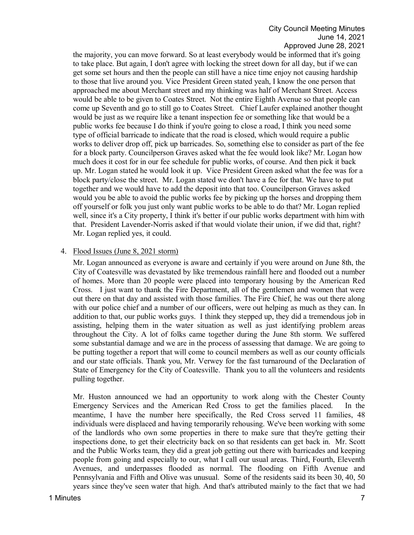the majority, you can move forward. So at least everybody would be informed that it's going to take place. But again, I don't agree with locking the street down for all day, but if we can get some set hours and then the people can still have a nice time enjoy not causing hardship to those that live around you. Vice President Green stated yeah, I know the one person that approached me about Merchant street and my thinking was half of Merchant Street. Access would be able to be given to Coates Street. Not the entire Eighth Avenue so that people can come up Seventh and go to still go to Coates Street. Chief Laufer explained another thought would be just as we require like a tenant inspection fee or something like that would be a public works fee because I do think if you're going to close a road, I think you need some type of official barricade to indicate that the road is closed, which would require a public works to deliver drop off, pick up barricades. So, something else to consider as part of the fee for a block party. Councilperson Graves asked what the fee would look like? Mr. Logan how much does it cost for in our fee schedule for public works, of course. And then pick it back up. Mr. Logan stated he would look it up. Vice President Green asked what the fee was for a block party/close the street. Mr. Logan stated we don't have a fee for that. We have to put together and we would have to add the deposit into that too. Councilperson Graves asked would you be able to avoid the public works fee by picking up the horses and dropping them off yourself or folk you just only want public works to be able to do that? Mr. Logan replied well, since it's a City property, I think it's better if our public works department with him with that. President Lavender-Norris asked if that would violate their union, if we did that, right? Mr. Logan replied yes, it could.

## 4. Flood Issues (June 8, 2021 storm)

Mr. Logan announced as everyone is aware and certainly if you were around on June 8th, the City of Coatesville was devastated by like tremendous rainfall here and flooded out a number of homes. More than 20 people were placed into temporary housing by the American Red Cross. I just want to thank the Fire Department, all of the gentlemen and women that were out there on that day and assisted with those families. The Fire Chief, he was out there along with our police chief and a number of our officers, were out helping as much as they can. In addition to that, our public works guys. I think they stepped up, they did a tremendous job in assisting, helping them in the water situation as well as just identifying problem areas throughout the City. A lot of folks came together during the June 8th storm. We suffered some substantial damage and we are in the process of assessing that damage. We are going to be putting together a report that will come to council members as well as our county officials and our state officials. Thank you, Mr. Verwey for the fast turnaround of the Declaration of State of Emergency for the City of Coatesville. Thank you to all the volunteers and residents pulling together.

Mr. Huston announced we had an opportunity to work along with the Chester County Emergency Services and the American Red Cross to get the families placed. In the meantime, I have the number here specifically, the Red Cross served 11 families, 48 individuals were displaced and having temporarily rehousing. We've been working with some of the landlords who own some properties in there to make sure that they're getting their inspections done, to get their electricity back on so that residents can get back in. Mr. Scott and the Public Works team, they did a great job getting out there with barricades and keeping people from going and especially to our, what I call our usual areas. Third, Fourth, Eleventh Avenues, and underpasses flooded as normal. The flooding on Fifth Avenue and Pennsylvania and Fifth and Olive was unusual. Some of the residents said its been 30, 40, 50 years since they've seen water that high. And that's attributed mainly to the fact that we had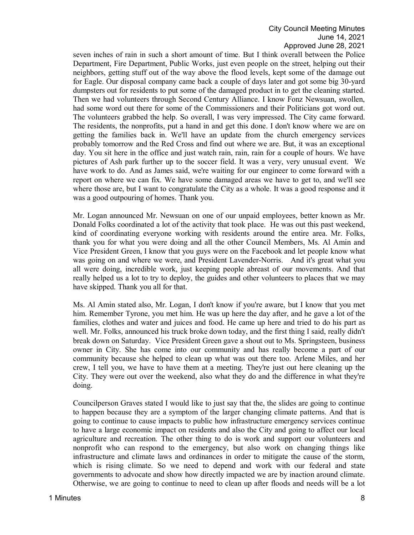seven inches of rain in such a short amount of time. But I think overall between the Police Department, Fire Department, Public Works, just even people on the street, helping out their neighbors, getting stuff out of the way above the flood levels, kept some of the damage out for Eagle. Our disposal company came back a couple of days later and got some big 30-yard dumpsters out for residents to put some of the damaged product in to get the cleaning started. Then we had volunteers through Second Century Alliance. I know Fonz Newsuan, swollen, had some word out there for some of the Commissioners and their Politicians got word out. The volunteers grabbed the help. So overall, I was very impressed. The City came forward. The residents, the nonprofits, put a hand in and get this done. I don't know where we are on getting the families back in. We'll have an update from the church emergency services probably tomorrow and the Red Cross and find out where we are. But, it was an exceptional day. You sit here in the office and just watch rain, rain, rain for a couple of hours. We have pictures of Ash park further up to the soccer field. It was a very, very unusual event. We have work to do. And as James said, we're waiting for our engineer to come forward with a report on where we can fix. We have some damaged areas we have to get to, and we'll see where those are, but I want to congratulate the City as a whole. It was a good response and it was a good outpouring of homes. Thank you.

Mr. Logan announced Mr. Newsuan on one of our unpaid employees, better known as Mr. Donald Folks coordinated a lot of the activity that took place. He was out this past weekend, kind of coordinating everyone working with residents around the entire area. Mr. Folks, thank you for what you were doing and all the other Council Members, Ms. Al Amin and Vice President Green, I know that you guys were on the Facebook and let people know what was going on and where we were, and President Lavender-Norris. And it's great what you all were doing, incredible work, just keeping people abreast of our movements. And that really helped us a lot to try to deploy, the guides and other volunteers to places that we may have skipped. Thank you all for that.

Ms. Al Amin stated also, Mr. Logan, I don't know if you're aware, but I know that you met him. Remember Tyrone, you met him. He was up here the day after, and he gave a lot of the families, clothes and water and juices and food. He came up here and tried to do his part as well. Mr. Folks, announced his truck broke down today, and the first thing I said, really didn't break down on Saturday. Vice President Green gave a shout out to Ms. Springsteen, business owner in City. She has come into our community and has really become a part of our community because she helped to clean up what was out there too. Arlene Miles, and her crew, I tell you, we have to have them at a meeting. They're just out here cleaning up the City. They were out over the weekend, also what they do and the difference in what they're doing.

Councilperson Graves stated I would like to just say that the, the slides are going to continue to happen because they are a symptom of the larger changing climate patterns. And that is going to continue to cause impacts to public how infrastructure emergency services continue to have a large economic impact on residents and also the City and going to affect our local agriculture and recreation. The other thing to do is work and support our volunteers and nonprofit who can respond to the emergency, but also work on changing things like infrastructure and climate laws and ordinances in order to mitigate the cause of the storm, which is rising climate. So we need to depend and work with our federal and state governments to advocate and show how directly impacted we are by inaction around climate. Otherwise, we are going to continue to need to clean up after floods and needs will be a lot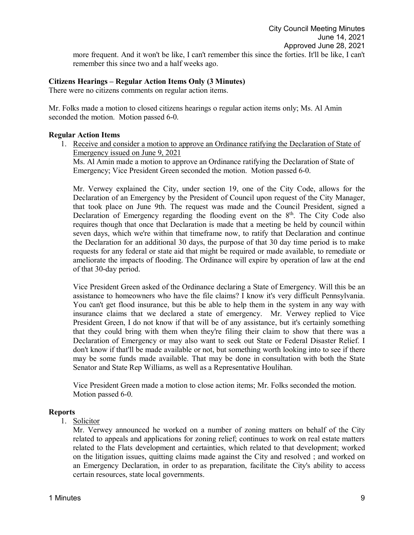# **Citizens Hearings – Regular Action Items Only (3 Minutes)**

There were no citizens comments on regular action items.

Mr. Folks made a motion to closed citizens hearings o regular action items only; Ms. Al Amin seconded the motion. Motion passed 6-0.

## **Regular Action Items**

1. Receive and consider a motion to approve an Ordinance ratifying the Declaration of State of Emergency issued on June 9, 2021

Ms. Al Amin made a motion to approve an Ordinance ratifying the Declaration of State of Emergency; Vice President Green seconded the motion. Motion passed 6-0.

Mr. Verwey explained the City, under section 19, one of the City Code, allows for the Declaration of an Emergency by the President of Council upon request of the City Manager, that took place on June 9th. The request was made and the Council President, signed a Declaration of Emergency regarding the flooding event on the  $8<sup>th</sup>$ . The City Code also requires though that once that Declaration is made that a meeting be held by council within seven days, which we're within that timeframe now, to ratify that Declaration and continue the Declaration for an additional 30 days, the purpose of that 30 day time period is to make requests for any federal or state aid that might be required or made available, to remediate or ameliorate the impacts of flooding. The Ordinance will expire by operation of law at the end of that 30-day period.

Vice President Green asked of the Ordinance declaring a State of Emergency. Will this be an assistance to homeowners who have the file claims? I know it's very difficult Pennsylvania. You can't get flood insurance, but this be able to help them in the system in any way with insurance claims that we declared a state of emergency. Mr. Verwey replied to Vice President Green, I do not know if that will be of any assistance, but it's certainly something that they could bring with them when they're filing their claim to show that there was a Declaration of Emergency or may also want to seek out State or Federal Disaster Relief. I don't know if that'll be made available or not, but something worth looking into to see if there may be some funds made available. That may be done in consultation with both the State Senator and State Rep Williams, as well as a Representative Houlihan.

Vice President Green made a motion to close action items; Mr. Folks seconded the motion. Motion passed 6-0.

# **Reports**

# 1. Solicitor

Mr. Verwey announced he worked on a number of zoning matters on behalf of the City related to appeals and applications for zoning relief; continues to work on real estate matters related to the Flats development and certainties, which related to that development; worked on the litigation issues, quitting claims made against the City and resolved ; and worked on an Emergency Declaration, in order to as preparation, facilitate the City's ability to access certain resources, state local governments.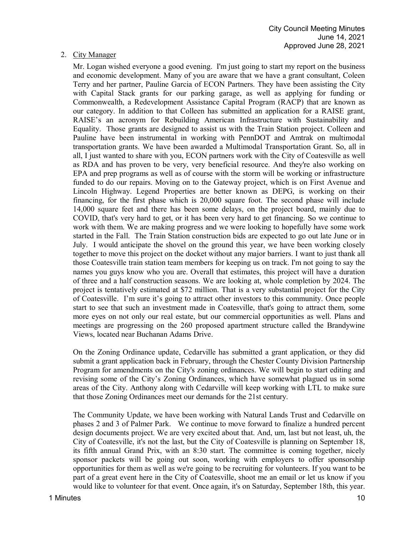# 2. City Manager

Mr. Logan wished everyone a good evening. I'm just going to start my report on the business and economic development. Many of you are aware that we have a grant consultant, Coleen Terry and her partner, Pauline Garcia of ECON Partners. They have been assisting the City with Capital Stack grants for our parking garage, as well as applying for funding or Commonwealth, a Redevelopment Assistance Capital Program (RACP) that are known as our category. In addition to that Colleen has submitted an application for a RAISE grant, RAISE's an acronym for Rebuilding American Infrastructure with Sustainability and Equality. Those grants are designed to assist us with the Train Station project. Colleen and Pauline have been instrumental in working with PennDOT and Amtrak on multimodal transportation grants. We have been awarded a Multimodal Transportation Grant. So, all in all, I just wanted to share with you, ECON partners work with the City of Coatesville as well as RDA and has proven to be very, very beneficial resource. And they're also working on EPA and prep programs as well as of course with the storm will be working or infrastructure funded to do our repairs. Moving on to the Gateway project, which is on First Avenue and Lincoln Highway. Legend Properties are better known as DEPG, is working on their financing, for the first phase which is 20,000 square foot. The second phase will include 14,000 square feet and there has been some delays, on the project board, mainly due to COVID, that's very hard to get, or it has been very hard to get financing. So we continue to work with them. We are making progress and we were looking to hopefully have some work started in the Fall. The Train Station construction bids are expected to go out late June or in July. I would anticipate the shovel on the ground this year, we have been working closely together to move this project on the docket without any major barriers. I want to just thank all those Coatesville train station team members for keeping us on track. I'm not going to say the names you guys know who you are. Overall that estimates, this project will have a duration of three and a half construction seasons. We are looking at, whole completion by 2024. The project is tentatively estimated at \$72 million. That is a very substantial project for the City of Coatesville. I'm sure it's going to attract other investors to this community. Once people start to see that such an investment made in Coatesville, that's going to attract them, some more eyes on not only our real estate, but our commercial opportunities as well. Plans and meetings are progressing on the 260 proposed apartment structure called the Brandywine Views, located near Buchanan Adams Drive.

On the Zoning Ordinance update, Cedarville has submitted a grant application, or they did submit a grant application back in February, through the Chester County Division Partnership Program for amendments on the City's zoning ordinances. We will begin to start editing and revising some of the City's Zoning Ordinances, which have somewhat plagued us in some areas of the City. Anthony along with Cedarville will keep working with LTL to make sure that those Zoning Ordinances meet our demands for the 21st century.

The Community Update, we have been working with Natural Lands Trust and Cedarville on phases 2 and 3 of Palmer Park. We continue to move forward to finalize a hundred percent design documents project. We are very excited about that. And, um, last but not least, uh, the City of Coatesville, it's not the last, but the City of Coatesville is planning on September 18, its fifth annual Grand Prix, with an 8:30 start. The committee is coming together, nicely sponsor packets will be going out soon, working with employers to offer sponsorship opportunities for them as well as we're going to be recruiting for volunteers. If you want to be part of a great event here in the City of Coatesville, shoot me an email or let us know if you would like to volunteer for that event. Once again, it's on Saturday, September 18th, this year.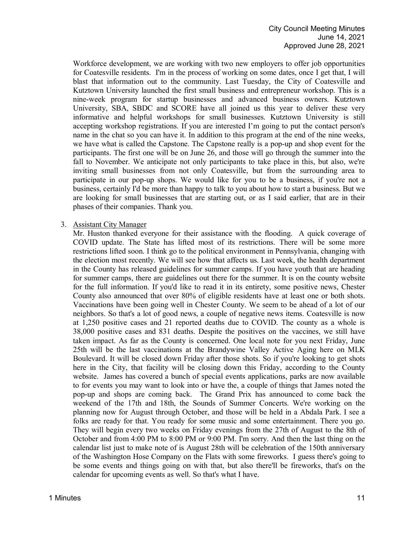Workforce development, we are working with two new employers to offer job opportunities for Coatesville residents. I'm in the process of working on some dates, once I get that, I will blast that information out to the community. Last Tuesday, the City of Coatesville and Kutztown University launched the first small business and entrepreneur workshop. This is a nine-week program for startup businesses and advanced business owners. Kutztown University, SBA, SBDC and SCORE have all joined us this year to deliver these very informative and helpful workshops for small businesses. Kutztown University is still accepting workshop registrations. If you are interested I'm going to put the contact person's name in the chat so you can have it. In addition to this program at the end of the nine weeks, we have what is called the Capstone. The Capstone really is a pop-up and shop event for the participants. The first one will be on June 26, and those will go through the summer into the fall to November. We anticipate not only participants to take place in this, but also, we're inviting small businesses from not only Coatesville, but from the surrounding area to participate in our pop-up shops. We would like for you to be a business, if you're not a business, certainly I'd be more than happy to talk to you about how to start a business. But we are looking for small businesses that are starting out, or as I said earlier, that are in their phases of their companies. Thank you.

#### 3. Assistant City Manager

Mr. Huston thanked everyone for their assistance with the flooding. A quick coverage of COVID update. The State has lifted most of its restrictions. There will be some more restrictions lifted soon. I think go to the political environment in Pennsylvania, changing with the election most recently. We will see how that affects us. Last week, the health department in the County has released guidelines for summer camps. If you have youth that are heading for summer camps, there are guidelines out there for the summer. It is on the county website for the full information. If you'd like to read it in its entirety, some positive news, Chester County also announced that over 80% of eligible residents have at least one or both shots. Vaccinations have been going well in Chester County. We seem to be ahead of a lot of our neighbors. So that's a lot of good news, a couple of negative news items. Coatesville is now at 1,250 positive cases and 21 reported deaths due to COVID. The county as a whole is 38,000 positive cases and 831 deaths. Despite the positives on the vaccines, we still have taken impact. As far as the County is concerned. One local note for you next Friday, June 25th will be the last vaccinations at the Brandywine Valley Active Aging here on MLK Boulevard. It will be closed down Friday after those shots. So if you're looking to get shots here in the City, that facility will be closing down this Friday, according to the County website. James has covered a bunch of special events applications, parks are now available to for events you may want to look into or have the, a couple of things that James noted the pop-up and shops are coming back. The Grand Prix has announced to come back the weekend of the 17th and 18th, the Sounds of Summer Concerts. We're working on the planning now for August through October, and those will be held in a Abdala Park. I see a folks are ready for that. You ready for some music and some entertainment. There you go. They will begin every two weeks on Friday evenings from the 27th of August to the 8th of October and from 4:00 PM to 8:00 PM or 9:00 PM. I'm sorry. And then the last thing on the calendar list just to make note of is August 28th will be celebration of the 150th anniversary of the Washington Hose Company on the Flats with some fireworks. I guess there's going to be some events and things going on with that, but also there'll be fireworks, that's on the calendar for upcoming events as well. So that's what I have.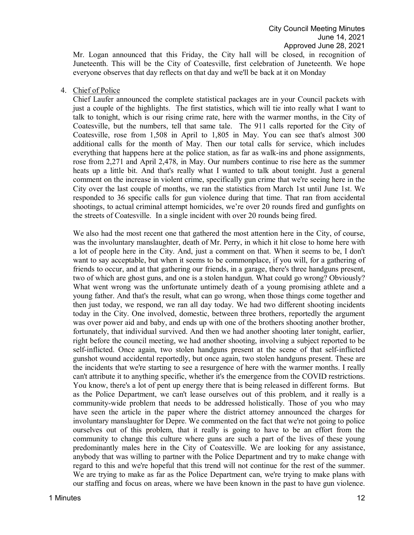Mr. Logan announced that this Friday, the City hall will be closed, in recognition of Juneteenth. This will be the City of Coatesville, first celebration of Juneteenth. We hope everyone observes that day reflects on that day and we'll be back at it on Monday

#### 4. Chief of Police

Chief Laufer announced the complete statistical packages are in your Council packets with just a couple of the highlights. The first statistics, which will tie into really what I want to talk to tonight, which is our rising crime rate, here with the warmer months, in the City of Coatesville, but the numbers, tell that same tale. The 911 calls reported for the City of Coatesville, rose from 1,508 in April to 1,805 in May. You can see that's almost 300 additional calls for the month of May. Then our total calls for service, which includes everything that happens here at the police station, as far as walk-ins and phone assignments, rose from 2,271 and April 2,478, in May. Our numbers continue to rise here as the summer heats up a little bit. And that's really what I wanted to talk about tonight. Just a general comment on the increase in violent crime, specifically gun crime that we're seeing here in the City over the last couple of months, we ran the statistics from March 1st until June 1st. We responded to 36 specific calls for gun violence during that time. That ran from accidental shootings, to actual criminal attempt homicides, we're over 20 rounds fired and gunfights on the streets of Coatesville. In a single incident with over 20 rounds being fired.

We also had the most recent one that gathered the most attention here in the City, of course, was the involuntary manslaughter, death of Mr. Perry, in which it hit close to home here with a lot of people here in the City. And, just a comment on that. When it seems to be, I don't want to say acceptable, but when it seems to be commonplace, if you will, for a gathering of friends to occur, and at that gathering our friends, in a garage, there's three handguns present, two of which are ghost guns, and one is a stolen handgun. What could go wrong? Obviously? What went wrong was the unfortunate untimely death of a young promising athlete and a young father. And that's the result, what can go wrong, when those things come together and then just today, we respond, we ran all day today. We had two different shooting incidents today in the City. One involved, domestic, between three brothers, reportedly the argument was over power aid and baby, and ends up with one of the brothers shooting another brother, fortunately, that individual survived. And then we had another shooting later tonight, earlier, right before the council meeting, we had another shooting, involving a subject reported to be self-inflicted. Once again, two stolen handguns present at the scene of that self-inflicted gunshot wound accidental reportedly, but once again, two stolen handguns present. These are the incidents that we're starting to see a resurgence of here with the warmer months. I really can't attribute it to anything specific, whether it's the emergence from the COVID restrictions. You know, there's a lot of pent up energy there that is being released in different forms. But as the Police Department, we can't lease ourselves out of this problem, and it really is a community-wide problem that needs to be addressed holistically. Those of you who may have seen the article in the paper where the district attorney announced the charges for involuntary manslaughter for Depre. We commented on the fact that we're not going to police ourselves out of this problem, that it really is going to have to be an effort from the community to change this culture where guns are such a part of the lives of these young predominantly males here in the City of Coatesville. We are looking for any assistance, anybody that was willing to partner with the Police Department and try to make change with regard to this and we're hopeful that this trend will not continue for the rest of the summer. We are trying to make as far as the Police Department can, we're trying to make plans with our staffing and focus on areas, where we have been known in the past to have gun violence.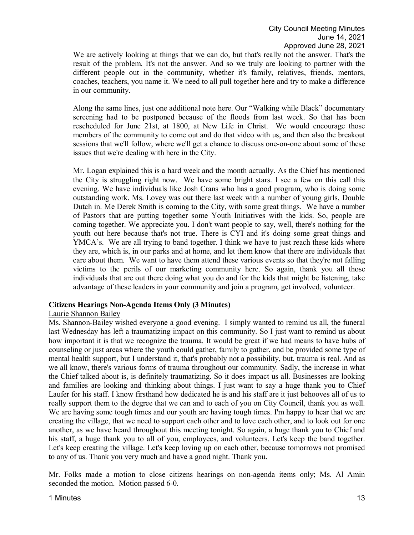We are actively looking at things that we can do, but that's really not the answer. That's the result of the problem. It's not the answer. And so we truly are looking to partner with the different people out in the community, whether it's family, relatives, friends, mentors, coaches, teachers, you name it. We need to all pull together here and try to make a difference in our community.

Along the same lines, just one additional note here. Our "Walking while Black" documentary screening had to be postponed because of the floods from last week. So that has been rescheduled for June 21st, at 1800, at New Life in Christ. We would encourage those members of the community to come out and do that video with us, and then also the breakout sessions that we'll follow, where we'll get a chance to discuss one-on-one about some of these issues that we're dealing with here in the City.

Mr. Logan explained this is a hard week and the month actually. As the Chief has mentioned the City is struggling right now. We have some bright stars. I see a few on this call this evening. We have individuals like Josh Crans who has a good program, who is doing some outstanding work. Ms. Lovey was out there last week with a number of young girls, Double Dutch in. Me Derek Smith is coming to the City, with some great things. We have a number of Pastors that are putting together some Youth Initiatives with the kids. So, people are coming together. We appreciate you. I don't want people to say, well, there's nothing for the youth out here because that's not true. There is CYI and it's doing some great things and YMCA's. We are all trying to band together. I think we have to just reach these kids where they are, which is, in our parks and at home, and let them know that there are individuals that care about them. We want to have them attend these various events so that they're not falling victims to the perils of our marketing community here. So again, thank you all those individuals that are out there doing what you do and for the kids that might be listening, take advantage of these leaders in your community and join a program, get involved, volunteer.

# **Citizens Hearings Non-Agenda Items Only (3 Minutes)**

# Laurie Shannon Bailey

Ms. Shannon-Bailey wished everyone a good evening. I simply wanted to remind us all, the funeral last Wednesday has left a traumatizing impact on this community. So I just want to remind us about how important it is that we recognize the trauma. It would be great if we had means to have hubs of counseling or just areas where the youth could gather, family to gather, and be provided some type of mental health support, but I understand it, that's probably not a possibility, but, trauma is real. And as we all know, there's various forms of trauma throughout our community. Sadly, the increase in what the Chief talked about is, is definitely traumatizing. So it does impact us all. Businesses are looking and families are looking and thinking about things. I just want to say a huge thank you to Chief Laufer for his staff. I know firsthand how dedicated he is and his staff are it just behooves all of us to really support them to the degree that we can and to each of you on City Council, thank you as well. We are having some tough times and our youth are having tough times. I'm happy to hear that we are creating the village, that we need to support each other and to love each other, and to look out for one another, as we have heard throughout this meeting tonight. So again, a huge thank you to Chief and his staff, a huge thank you to all of you, employees, and volunteers. Let's keep the band together. Let's keep creating the village. Let's keep loving up on each other, because tomorrows not promised to any of us. Thank you very much and have a good night. Thank you.

Mr. Folks made a motion to close citizens hearings on non-agenda items only; Ms. Al Amin seconded the motion. Motion passed 6-0.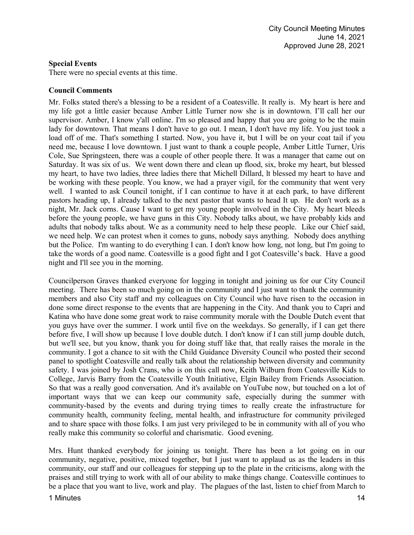# **Special Events**

There were no special events at this time.

# **Council Comments**

Mr. Folks stated there's a blessing to be a resident of a Coatesville. It really is. My heart is here and my life got a little easier because Amber Little Turner now she is in downtown. I'll call her our supervisor. Amber, I know y'all online. I'm so pleased and happy that you are going to be the main lady for downtown. That means I don't have to go out. I mean, I don't have my life. You just took a load off of me. That's something I started. Now, you have it, but I will be on your coat tail if you need me, because I love downtown. I just want to thank a couple people, Amber Little Turner, Uris Cole, Sue Springsteen, there was a couple of other people there. It was a manager that came out on Saturday. It was six of us. We went down there and clean up flood, six, broke my heart, but blessed my heart, to have two ladies, three ladies there that Michell Dillard, lt blessed my heart to have and be working with these people. You know, we had a prayer vigil, for the community that went very well. I wanted to ask Council tonight, if I can continue to have it at each park, to have different pastors heading up, I already talked to the next pastor that wants to head It up. He don't work as a night, Mr. Jack corns. Cause I want to get my young people involved in the City. My heart bleeds before the young people, we have guns in this City. Nobody talks about, we have probably kids and adults that nobody talks about. We as a community need to help these people. Like our Chief said, we need help. We can protest when it comes to guns, nobody says anything. Nobody does anything but the Police. I'm wanting to do everything I can. I don't know how long, not long, but I'm going to take the words of a good name. Coatesville is a good fight and I got Coatesville's back. Have a good night and I'll see you in the morning.

Councilperson Graves thanked everyone for logging in tonight and joining us for our City Council meeting. There has been so much going on in the community and I just want to thank the community members and also City staff and my colleagues on City Council who have risen to the occasion in done some direct response to the events that are happening in the City. And thank you to Capri and Katina who have done some great work to raise community morale with the Double Dutch event that you guys have over the summer. I work until five on the weekdays. So generally, if I can get there before five, I will show up because I love double dutch. I don't know if I can still jump double dutch, but we'll see, but you know, thank you for doing stuff like that, that really raises the morale in the community. I got a chance to sit with the Child Guidance Diversity Council who posted their second panel to spotlight Coatesville and really talk about the relationship between diversity and community safety. I was joined by Josh Crans, who is on this call now, Keith Wilburn from Coatesville Kids to College, Jarvis Barry from the Coatesville Youth Initiative, Elgin Bailey from Friends Association. So that was a really good conversation. And it's available on YouTube now, but touched on a lot of important ways that we can keep our community safe, especially during the summer with community-based by the events and during trying times to really create the infrastructure for community health, community feeling, mental health, and infrastructure for community privileged and to share space with those folks. I am just very privileged to be in community with all of you who really make this community so colorful and charismatic. Good evening.

Mrs. Hunt thanked everybody for joining us tonight. There has been a lot going on in our community, negative, positive, mixed together, but I just want to applaud us as the leaders in this community, our staff and our colleagues for stepping up to the plate in the criticisms, along with the praises and still trying to work with all of our ability to make things change. Coatesville continues to be a place that you want to live, work and play. The plagues of the last, listen to chief from March to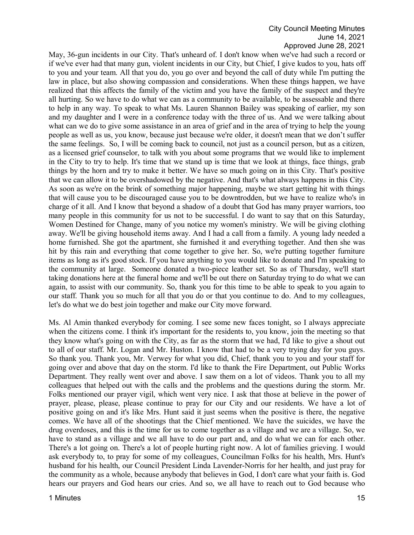May, 36-gun incidents in our City. That's unheard of. I don't know when we've had such a record or if we've ever had that many gun, violent incidents in our City, but Chief, I give kudos to you, hats off to you and your team. All that you do, you go over and beyond the call of duty while I'm putting the law in place, but also showing compassion and considerations. When these things happen, we have realized that this affects the family of the victim and you have the family of the suspect and they're all hurting. So we have to do what we can as a community to be available, to be assessable and there to help in any way. To speak to what Ms. Lauren Shannon Bailey was speaking of earlier, my son and my daughter and I were in a conference today with the three of us. And we were talking about what can we do to give some assistance in an area of grief and in the area of trying to help the young people as well as us, you know, because just because we're older, it doesn't mean that we don't suffer the same feelings. So, I will be coming back to council, not just as a council person, but as a citizen, as a licensed grief counselor, to talk with you about some programs that we would like to implement in the City to try to help. It's time that we stand up is time that we look at things, face things, grab things by the horn and try to make it better. We have so much going on in this City. That's positive that we can allow it to be overshadowed by the negative. And that's what always happens in this City. As soon as we're on the brink of something major happening, maybe we start getting hit with things that will cause you to be discouraged cause you to be downtrodden, but we have to realize who's in charge of it all. And I know that beyond a shadow of a doubt that God has many prayer warriors, too many people in this community for us not to be successful. I do want to say that on this Saturday, Women Destined for Change, many of you notice my women's ministry. We will be giving clothing away. We'll be giving household items away. And I had a call from a family. A young lady needed a home furnished. She got the apartment, she furnished it and everything together. And then she was hit by this rain and everything that come together to give her. So, we're putting together furniture items as long as it's good stock. If you have anything to you would like to donate and I'm speaking to the community at large. Someone donated a two-piece leather set. So as of Thursday, we'll start taking donations here at the funeral home and we'll be out there on Saturday trying to do what we can again, to assist with our community. So, thank you for this time to be able to speak to you again to our staff. Thank you so much for all that you do or that you continue to do. And to my colleagues, let's do what we do best join together and make our City move forward.

Ms. Al Amin thanked everybody for coming. I see some new faces tonight, so I always appreciate when the citizens come. I think it's important for the residents to, you know, join the meeting so that they know what's going on with the City, as far as the storm that we had, I'd like to give a shout out to all of our staff. Mr. Logan and Mr. Huston. I know that had to be a very trying day for you guys. So thank you. Thank you, Mr. Verwey for what you did, Chief, thank you to you and your staff for going over and above that day on the storm. I'd like to thank the Fire Department, out Public Works Department. They really went over and above. I saw them on a lot of videos. Thank you to all my colleagues that helped out with the calls and the problems and the questions during the storm. Mr. Folks mentioned our prayer vigil, which went very nice. I ask that those at believe in the power of prayer, please, please, please continue to pray for our City and our residents. We have a lot of positive going on and it's like Mrs. Hunt said it just seems when the positive is there, the negative comes. We have all of the shootings that the Chief mentioned. We have the suicides, we have the drug overdoses, and this is the time for us to come together as a village and we are a village. So, we have to stand as a village and we all have to do our part and, and do what we can for each other. There's a lot going on. There's a lot of people hurting right now. A lot of families grieving. I would ask everybody to, to pray for some of my colleagues, Councilman Folks for his health, Mrs. Hunt's husband for his health, our Council President Linda Lavender-Norris for her health, and just pray for the community as a whole, because anybody that believes in God, I don't care what your faith is. God hears our prayers and God hears our cries. And so, we all have to reach out to God because who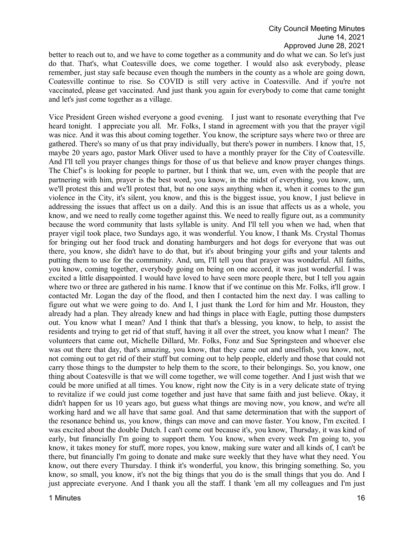better to reach out to, and we have to come together as a community and do what we can. So let's just do that. That's, what Coatesville does, we come together. I would also ask everybody, please remember, just stay safe because even though the numbers in the county as a whole are going down, Coatesville continue to rise. So COVID is still very active in Coatesville. And if you're not vaccinated, please get vaccinated. And just thank you again for everybody to come that came tonight and let's just come together as a village.

Vice President Green wished everyone a good evening. I just want to resonate everything that I've heard tonight. I appreciate you all. Mr. Folks, I stand in agreement with you that the prayer vigil was nice. And it was this about coming together. You know, the scripture says where two or three are gathered. There's so many of us that pray individually, but there's power in numbers. I know that, 15, maybe 20 years ago, pastor Mark Oliver used to have a monthly prayer for the City of Coatesville. And I'll tell you prayer changes things for those of us that believe and know prayer changes things. The Chief's is looking for people to partner, but I think that we, um, even with the people that are partnering with him, prayer is the best word, you know, in the midst of everything, you know, um, we'll protest this and we'll protest that, but no one says anything when it, when it comes to the gun violence in the City, it's silent, you know, and this is the biggest issue, you know, I just believe in addressing the issues that affect us on a daily. And this is an issue that affects us as a whole, you know, and we need to really come together against this. We need to really figure out, as a community because the word community that lasts syllable is unity. And I'll tell you when we had, when that prayer vigil took place, two Sundays ago, it was wonderful. You know, I thank Ms. Crystal Thomas for bringing out her food truck and donating hamburgers and hot dogs for everyone that was out there, you know, she didn't have to do that, but it's about bringing your gifts and your talents and putting them to use for the community. And, um, I'll tell you that prayer was wonderful. All faiths, you know, coming together, everybody going on being on one accord, it was just wonderful. I was excited a little disappointed. I would have loved to have seen more people there, but I tell you again where two or three are gathered in his name. I know that if we continue on this Mr. Folks, it'll grow. I contacted Mr. Logan the day of the flood, and then I contacted him the next day. I was calling to figure out what we were going to do. And I, I just thank the Lord for him and Mr. Houston, they already had a plan. They already knew and had things in place with Eagle, putting those dumpsters out. You know what I mean? And I think that that's a blessing, you know, to help, to assist the residents and trying to get rid of that stuff, having it all over the street, you know what I mean? The volunteers that came out, Michelle Dillard, Mr. Folks, Fonz and Sue Springsteen and whoever else was out there that day, that's amazing, you know, that they came out and unselfish, you know, not, not coming out to get rid of their stuff but coming out to help people, elderly and those that could not carry those things to the dumpster to help them to the score, to their belongings. So, you know, one thing about Coatesville is that we will come together, we will come together. And I just wish that we could be more unified at all times. You know, right now the City is in a very delicate state of trying to revitalize if we could just come together and just have that same faith and just believe. Okay, it didn't happen for us 10 years ago, but guess what things are moving now, you know, and we're all working hard and we all have that same goal. And that same determination that with the support of the resonance behind us, you know, things can move and can move faster. You know, I'm excited. I was excited about the double Dutch. I can't come out because it's, you know, Thursday, it was kind of early, but financially I'm going to support them. You know, when every week I'm going to, you know, it takes money for stuff, more ropes, you know, making sure water and all kinds of, I can't be there, but financially I'm going to donate and make sure weekly that they have what they need. You know, out there every Thursday. I think it's wonderful, you know, this bringing something. So, you know, so small, you know, it's not the big things that you do is the small things that you do. And I just appreciate everyone. And I thank you all the staff. I thank 'em all my colleagues and I'm just